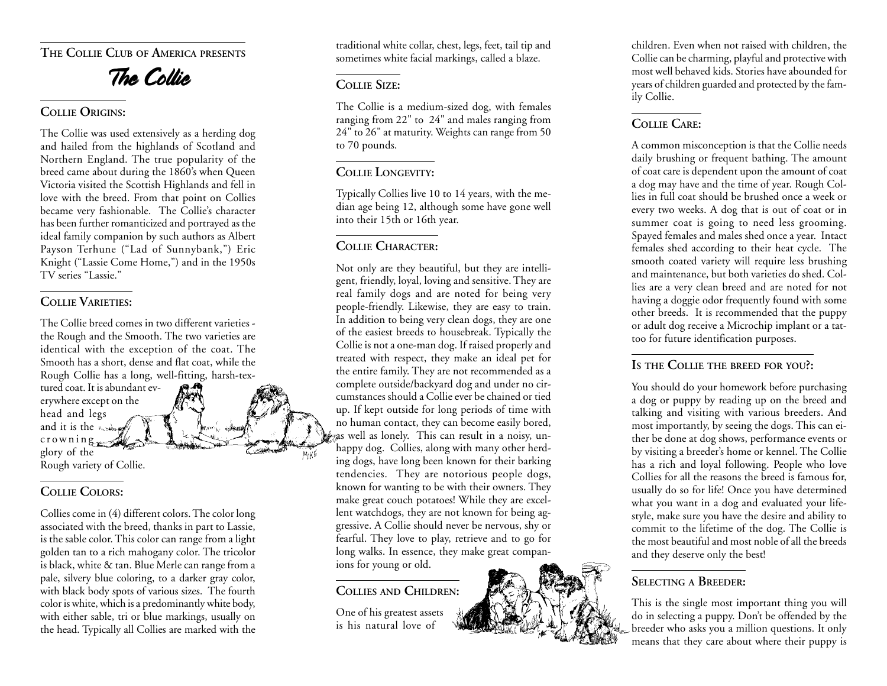**THE COLLIE CLUB OF AMERICA PRESENTS**

# The Collie

#### **COLLIE ORIGINS:**

The Collie was used extensively as a herding dog and hailed from the highlands of Scotland and Northern England. The true popularity of the breed came about during the 1860's when Queen Victoria visited the Scottish Highlands and fell in love with the breed. From that point on Collies became very fashionable. The Collie's character has been further romanticized and portrayed as the ideal family companion by such authors as Albert Payson Terhune ("Lad of Sunnybank,") Eric Knight ("Lassie Come Home,") and in the 1950s TV series "Lassie."

## **COLLIE VARIETIES:**

The Collie breed comes in two different varieties the Rough and the Smooth. The two varieties are identical with the exception of the coat. The Smooth has a short, dense and flat coat, while the Rough Collie has a long, well-fitting, harsh-textured coat. It is abundant ev-

erywhere except on the head and legs and it is the state crowning <sup>g</sup>lory of the Rough variety of Collie.

## **COLLIE COLORS:**

Collies come in (4) different colors. The color long associated with the breed, thanks in part to Lassie, is the sable color. This color can range from a light golden tan to a rich mahogany color. The tricolor is black, white & tan. Blue Merle can range from a pale, silvery blue coloring, to a darker gray color, with black body spots of various sizes. The fourth color is white, which is a predominantly white body, with either sable, tri or blue markings, usually on the head. Typically all Collies are marked with the

traditional white collar, chest, legs, feet, tail tip and sometimes white facial markings, called a blaze.

#### **COLLIE SIZE:**

The Collie is a medium-sized dog, with females ranging from 22" to 24" and males ranging from 24" to 26" at maturity. Weights can range from 50 to 70 pounds.

### **COLLIE LONGEVITY:**

Typically Collies live 10 to 14 years, with the median age being 12, although some have gone well into their 15th or 16th year.

## **COLLIE CHARACTER:**

Not only are they beautiful, but they are intelligent, friendly, loyal, loving and sensitive. They are real family dogs and are noted for being very people-friendly. Likewise, they are easy to train. In addition to being very clean dogs, they are one of the easiest breeds to housebreak. Typically the Collie is not a one-man dog. If raised properly and treated with respect, they make an ideal pet for the entire family. They are not recommended as a complete outside/backyard dog and under no circumstances should a Collie ever be chained or tied up. If kept outside for long periods of time with no human contact, they can become easily bored, as well as lonely. This can result in a noisy, unhappy dog. Collies, along with many other herding dogs, have long been known for their barking tendencies. They are notorious people dogs, known for wanting to be with their owners. They make great couch potatoes! While they are excellent watchdogs, they are not known for being aggressive. A Collie should never be nervous, shy or fearful. They love to play, retrieve and to go for long walks. In essence, they make great companions for young or old.

#### **COLLIES AND CHILDREN:**

One of his greatest assets is his natural love of

children. Even when not raised with children, the Collie can be charming, playful and protective with most well behaved kids. Stories have abounded for years of children guarded and protected by the family Collie.

## **COLLIE CARE:**

A common misconception is that the Collie needs daily brushing or frequent bathing. The amount of coat care is dependent upon the amount of coat a dog may have and the time of year. Rough Collies in full coat should be brushed once a week or every two weeks. A dog that is out of coat or in summer coat is going to need less grooming. Spayed females and males shed once a year. Intact females shed according to their heat cycle. The smooth coated variety will require less brushing and maintenance, but both varieties do shed. Collies are a very clean breed and are noted for not having a doggie odor frequently found with some other breeds. It is recommended that the puppy or adult dog receive a Microchip implant or a tattoo for future identification purposes.

## **IS THE COLLIE THE BREED FOR YOU?:**

You should do your homework before purchasing a dog or puppy by reading up on the breed and talking and visiting with various breeders. And most importantly, by seeing the dogs. This can either be done at dog shows, performance events or by visiting a breeder's home or kennel. The Collie has a rich and loyal following. People who love Collies for all the reasons the breed is famous for, usually do so for life! Once you have determined what you want in a dog and evaluated your lifestyle, make sure you have the desire and ability to commit to the lifetime of the dog. The Collie is the most beautiful and most noble of all the breeds and they deserve only the best!

## **SELECTING A BREEDER:**

This is the single most important thing you will do in selecting a puppy. Don't be offended by the breeder who asks you a million questions. It only means that they care about where their puppy is